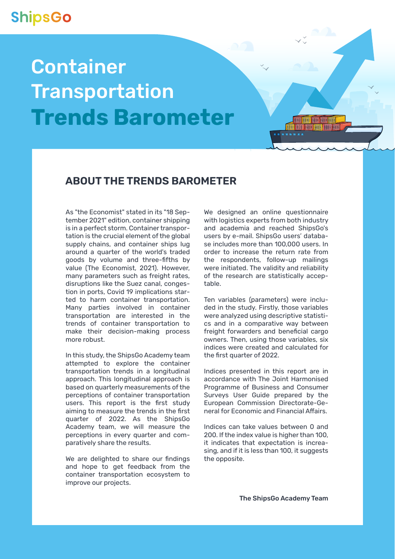# **ShipsGo**

# Container Transportation Trends Barometer

#### ABOUT THE TRENDS BAROMETER

As "the Economist" stated in its "18 September 2021" edition, container shipping is in a perfect storm. Container transportation is the crucial element of the global supply chains, and container ships lug around a quarter of the world's traded goods by volume and three-fifths by value (The Economist, 2021). However, many parameters such as freight rates, disruptions like the Suez canal, congestion in ports, Covid 19 implications started to harm container transportation. Many parties involved in container transportation are interested in the trends of container transportation to make their decision-making process more robust.

In this study, the ShipsGo Academy team attempted to explore the container transportation trends in a longitudinal approach. This longitudinal approach is based on quarterly measurements of the perceptions of container transportation users. This report is the first study aiming to measure the trends in the first quarter of 2022. As the ShipsGo Academy team, we will measure the perceptions in every quarter and comparatively share the results.

We are delighted to share our findings and hope to get feedback from the container transportation ecosystem to improve our projects.

We designed an online questionnaire with logistics experts from both industry and academia and reached ShipsGo's users by e-mail. ShipsGo users' database includes more than 100,000 users. In order to increase the return rate from the respondents, follow-up mailings were initiated. The validity and reliability of the research are statistically acceptable.

<u> Anii Anii Anii Ani</u>

Ten variables (parameters) were included in the study. Firstly, those variables were analyzed using descriptive statistics and in a comparative way between freight forwarders and beneficial cargo owners. Then, using those variables, six indices were created and calculated for the first quarter of 2022.

Indices presented in this report are in accordance with The Joint Harmonised Programme of Business and Consumer Surveys User Guide prepared by the European Commission Directorate-General for Economic and Financial Affairs.

Indices can take values between 0 and 200. If the index value is higher than 100, it indicates that expectation is increasing, and if it is less than 100, it suggests the opposite.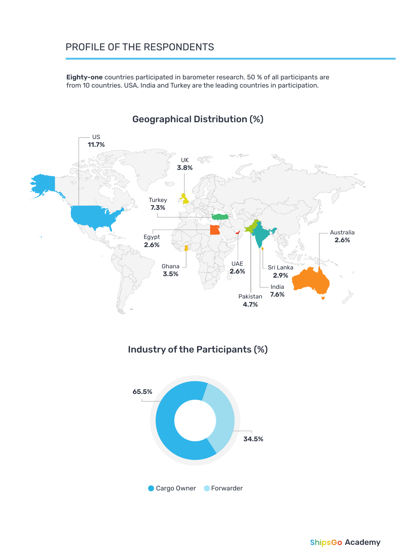#### PROFILE OF THE RESPONDENTS

Eighty-one countries participated in barometer research. 50 % of all participants are from 10 countries. USA, India and Turkey are the leading countries in participation.





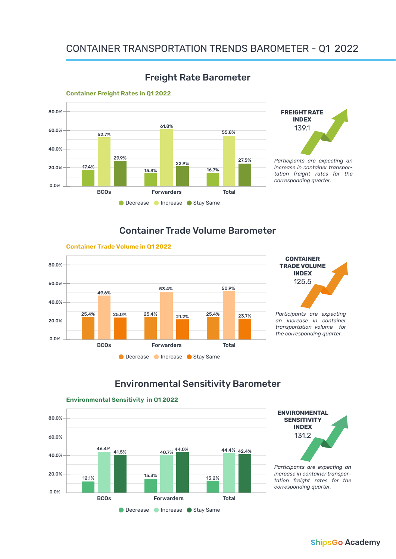

#### Freight Rate Barometer

Container Freight Rates in Q1 2022

Container Trade Volume in Q1 2022

#### Container Trade Volume Barometer



### Environmental Sensitivity Barometer



#### Environmental Sensitivity in Q1 2022

ShipsGo Academy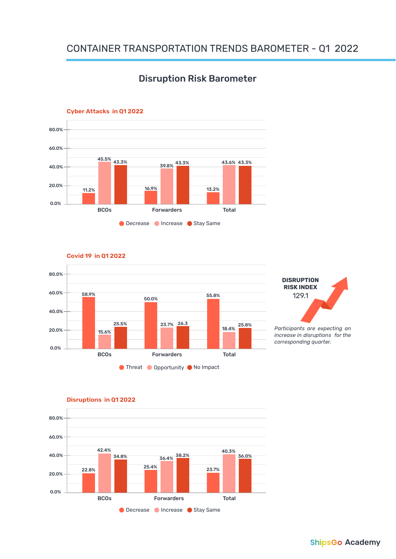

#### Disruption Risk Barometer

#### Covid 19 in Q1 2022





#### Disruptions in Q1 2022

```
ShipsGo Academy
```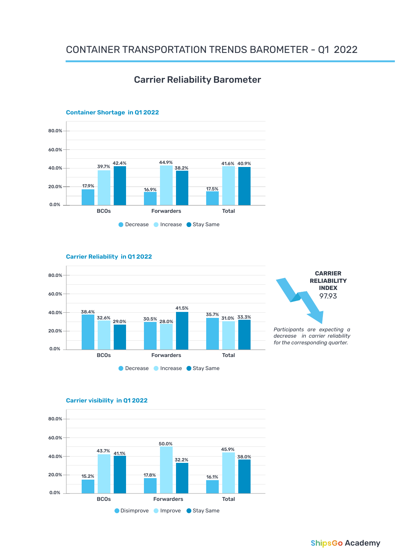

#### Carrier Reliability Barometer

#### Carrier Reliability in Q1 2022





#### Carrier visibility in Q1 2022